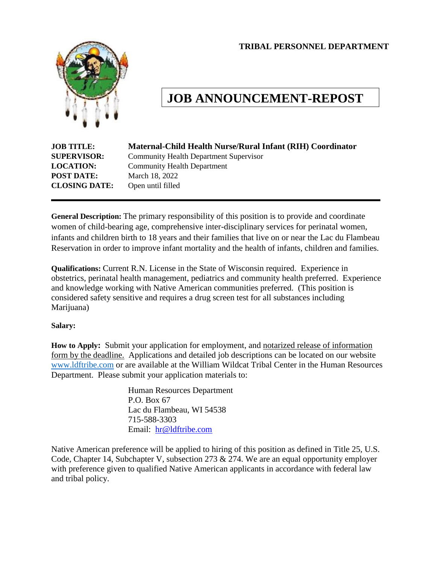**TRIBAL PERSONNEL DEPARTMENT**



# **JOB ANNOUNCEMENT-REPOST**

| <b>JOB TITLE:</b>    | Maternal-Child Health Nurse/Rural Infant (RIH) Coordinator |
|----------------------|------------------------------------------------------------|
| <b>SUPERVISOR:</b>   | <b>Community Health Department Supervisor</b>              |
| <b>LOCATION:</b>     | <b>Community Health Department</b>                         |
| <b>POST DATE:</b>    | March 18, 2022                                             |
| <b>CLOSING DATE:</b> | Open until filled                                          |
|                      |                                                            |

**General Description:** The primary responsibility of this position is to provide and coordinate women of child-bearing age, comprehensive inter-disciplinary services for perinatal women, infants and children birth to 18 years and their families that live on or near the Lac du Flambeau Reservation in order to improve infant mortality and the health of infants, children and families.

**Qualifications:** Current R.N. License in the State of Wisconsin required. Experience in obstetrics, perinatal health management, pediatrics and community health preferred. Experience and knowledge working with Native American communities preferred. (This position is considered safety sensitive and requires a drug screen test for all substances including Marijuana)

#### **Salary:**

**How to Apply:** Submit your application for employment, and notarized release of information form by the deadline. Applications and detailed job descriptions can be located on our website [www.ldftribe.com](http://www.ldftribe.com/) or are available at the William Wildcat Tribal Center in the Human Resources Department. Please submit your application materials to:

> Human Resources Department P.O. Box 67 Lac du Flambeau, WI 54538 715-588-3303 Email: [hr@ldftribe.com](mailto:hr@ldftribe.com)

Native American preference will be applied to hiring of this position as defined in Title 25, U.S. Code, Chapter 14, Subchapter V, subsection 273 & 274. We are an equal opportunity employer with preference given to qualified Native American applicants in accordance with federal law and tribal policy.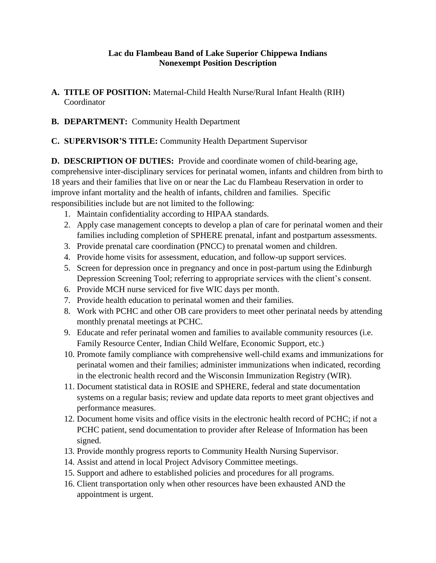## **Lac du Flambeau Band of Lake Superior Chippewa Indians Nonexempt Position Description**

- **A. TITLE OF POSITION:** Maternal-Child Health Nurse/Rural Infant Health (RIH) Coordinator
- **B. DEPARTMENT:** Community Health Department
- **C. SUPERVISOR'S TITLE:** Community Health Department Supervisor

**D. DESCRIPTION OF DUTIES:** Provide and coordinate women of child-bearing age, comprehensive inter-disciplinary services for perinatal women, infants and children from birth to 18 years and their families that live on or near the Lac du Flambeau Reservation in order to improve infant mortality and the health of infants, children and families. Specific responsibilities include but are not limited to the following:

- 1. Maintain confidentiality according to HIPAA standards.
- 2. Apply case management concepts to develop a plan of care for perinatal women and their families including completion of SPHERE prenatal, infant and postpartum assessments.
- 3. Provide prenatal care coordination (PNCC) to prenatal women and children.
- 4. Provide home visits for assessment, education, and follow-up support services.
- 5. Screen for depression once in pregnancy and once in post-partum using the Edinburgh Depression Screening Tool; referring to appropriate services with the client's consent.
- 6. Provide MCH nurse serviced for five WIC days per month.
- 7. Provide health education to perinatal women and their families.
- 8. Work with PCHC and other OB care providers to meet other perinatal needs by attending monthly prenatal meetings at PCHC.
- 9. Educate and refer perinatal women and families to available community resources (i.e. Family Resource Center, Indian Child Welfare, Economic Support, etc.)
- 10. Promote family compliance with comprehensive well-child exams and immunizations for perinatal women and their families; administer immunizations when indicated, recording in the electronic health record and the Wisconsin Immunization Registry (WIR).
- 11. Document statistical data in ROSIE and SPHERE, federal and state documentation systems on a regular basis; review and update data reports to meet grant objectives and performance measures.
- 12. Document home visits and office visits in the electronic health record of PCHC; if not a PCHC patient, send documentation to provider after Release of Information has been signed.
- 13. Provide monthly progress reports to Community Health Nursing Supervisor.
- 14. Assist and attend in local Project Advisory Committee meetings.
- 15. Support and adhere to established policies and procedures for all programs.
- 16. Client transportation only when other resources have been exhausted AND the appointment is urgent.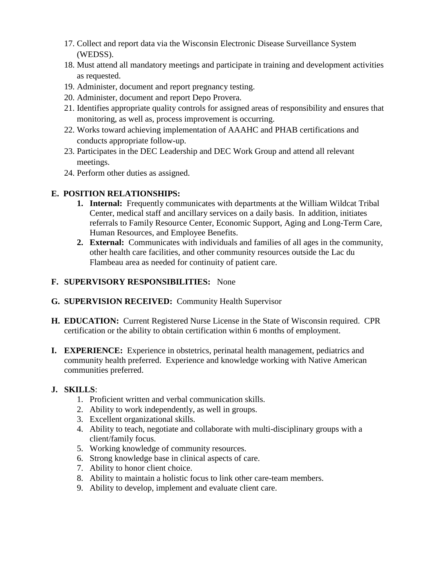- 17. Collect and report data via the Wisconsin Electronic Disease Surveillance System (WEDSS).
- 18. Must attend all mandatory meetings and participate in training and development activities as requested.
- 19. Administer, document and report pregnancy testing.
- 20. Administer, document and report Depo Provera.
- 21. Identifies appropriate quality controls for assigned areas of responsibility and ensures that monitoring, as well as, process improvement is occurring.
- 22. Works toward achieving implementation of AAAHC and PHAB certifications and conducts appropriate follow-up.
- 23. Participates in the DEC Leadership and DEC Work Group and attend all relevant meetings.
- 24. Perform other duties as assigned.

## **E. POSITION RELATIONSHIPS:**

- **1. Internal:** Frequently communicates with departments at the William Wildcat Tribal Center, medical staff and ancillary services on a daily basis. In addition, initiates referrals to Family Resource Center, Economic Support, Aging and Long-Term Care, Human Resources, and Employee Benefits.
- **2. External:** Communicates with individuals and families of all ages in the community, other health care facilities, and other community resources outside the Lac du Flambeau area as needed for continuity of patient care.

## **F. SUPERVISORY RESPONSIBILITIES:** None

- **G. SUPERVISION RECEIVED:** Community Health Supervisor
- **H. EDUCATION:** Current Registered Nurse License in the State of Wisconsin required. CPR certification or the ability to obtain certification within 6 months of employment.
- **I. EXPERIENCE:** Experience in obstetrics, perinatal health management, pediatrics and community health preferred. Experience and knowledge working with Native American communities preferred.

## **J. SKILLS**:

- 1. Proficient written and verbal communication skills.
- 2. Ability to work independently, as well in groups.
- 3. Excellent organizational skills.
- 4. Ability to teach, negotiate and collaborate with multi-disciplinary groups with a client/family focus.
- 5. Working knowledge of community resources.
- 6. Strong knowledge base in clinical aspects of care.
- 7. Ability to honor client choice.
- 8. Ability to maintain a holistic focus to link other care-team members.
- 9. Ability to develop, implement and evaluate client care.